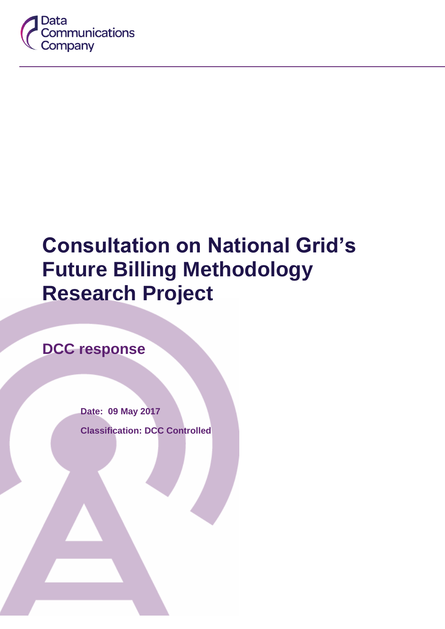

# **Consultation on National Grid's Future Billing Methodology Research Project**

**DCC response**

**Date: 09 May 2017 Classification: DCC Controlled**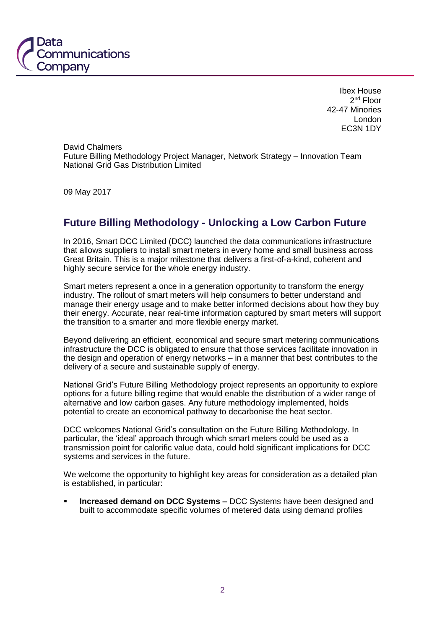

Ibex House 2<sup>nd</sup> Floor 42-47 Minories London EC3N 1DY

David Chalmers Future Billing Methodology Project Manager, Network Strategy – Innovation Team National Grid Gas Distribution Limited

09 May 2017

#### **Future Billing Methodology - Unlocking a Low Carbon Future**

In 2016, Smart DCC Limited (DCC) launched the data communications infrastructure that allows suppliers to install smart meters in every home and small business across Great Britain. This is a major milestone that delivers a first-of-a-kind, coherent and highly secure service for the whole energy industry.

Smart meters represent a once in a generation opportunity to transform the energy industry. The rollout of smart meters will help consumers to better understand and manage their energy usage and to make better informed decisions about how they buy their energy. Accurate, near real-time information captured by smart meters will support the transition to a smarter and more flexible energy market.

Beyond delivering an efficient, economical and secure smart metering communications infrastructure the DCC is obligated to ensure that those services facilitate innovation in the design and operation of energy networks – in a manner that best contributes to the delivery of a secure and sustainable supply of energy.

National Grid's Future Billing Methodology project represents an opportunity to explore options for a future billing regime that would enable the distribution of a wider range of alternative and low carbon gases. Any future methodology implemented, holds potential to create an economical pathway to decarbonise the heat sector.

DCC welcomes National Grid's consultation on the Future Billing Methodology. In particular, the 'ideal' approach through which smart meters could be used as a transmission point for calorific value data, could hold significant implications for DCC systems and services in the future.

We welcome the opportunity to highlight key areas for consideration as a detailed plan is established, in particular:

 **Increased demand on DCC Systems –** DCC Systems have been designed and built to accommodate specific volumes of metered data using demand profiles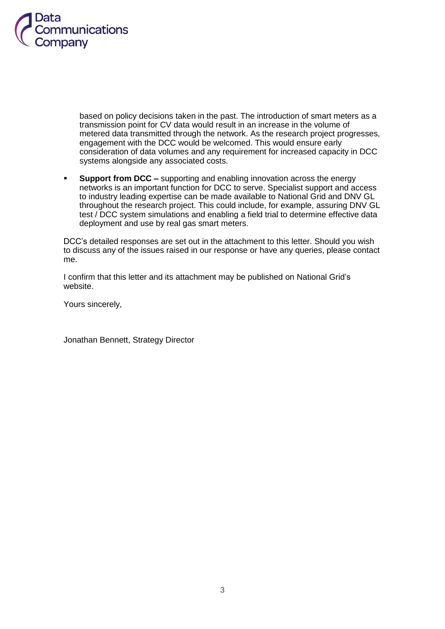

based on policy decisions taken in the past. The introduction of smart meters as a transmission point for CV data would result in an increase in the volume of metered data transmitted through the network. As the research project progresses, engagement with the DCC would be welcomed. This would ensure early consideration of data volumes and any requirement for increased capacity in DCC systems alongside any associated costs.

 **Support from DCC –** supporting and enabling innovation across the energy networks is an important function for DCC to serve. Specialist support and access to industry leading expertise can be made available to National Grid and DNV GL throughout the research project. This could include, for example, assuring DNV GL test / DCC system simulations and enabling a field trial to determine effective data deployment and use by real gas smart meters.

DCC's detailed responses are set out in the attachment to this letter. Should you wish to discuss any of the issues raised in our response or have any queries, please contact me.

I confirm that this letter and its attachment may be published on National Grid's website.

Yours sincerely,

Jonathan Bennett, Strategy Director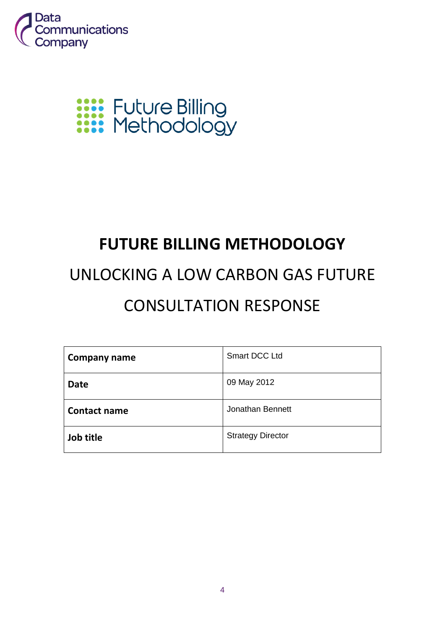

# **XXXX** Future Billing<br>XXXX Methodology

## **FUTURE BILLING METHODOLOGY**

## UNLOCKING A LOW CARBON GAS FUTURE CONSULTATION RESPONSE

| Company name        | <b>Smart DCC Ltd</b>     |
|---------------------|--------------------------|
| <b>Date</b>         | 09 May 2012              |
| <b>Contact name</b> | Jonathan Bennett         |
| Job title           | <b>Strategy Director</b> |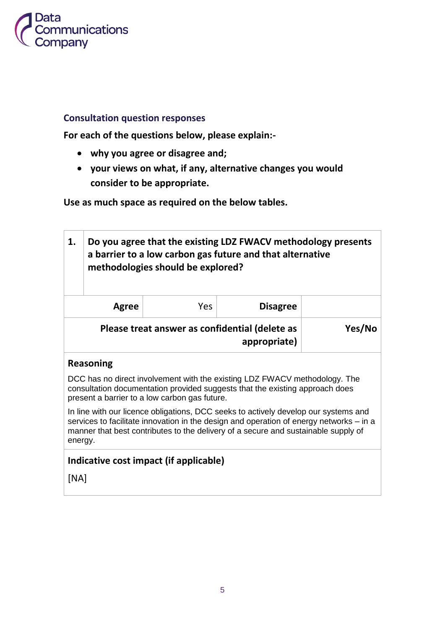

#### **Consultation question responses**

**For each of the questions below, please explain:-**

- **why you agree or disagree and;**
- **your views on what, if any, alternative changes you would consider to be appropriate.**

**Use as much space as required on the below tables.**

| 1.                                                                                                                                                                                                                                                                              | Do you agree that the existing LDZ FWACV methodology presents<br>a barrier to a low carbon gas future and that alternative<br>methodologies should be explored? |     |                 |        |
|---------------------------------------------------------------------------------------------------------------------------------------------------------------------------------------------------------------------------------------------------------------------------------|-----------------------------------------------------------------------------------------------------------------------------------------------------------------|-----|-----------------|--------|
|                                                                                                                                                                                                                                                                                 | Agree                                                                                                                                                           | Yes | <b>Disagree</b> |        |
|                                                                                                                                                                                                                                                                                 | Please treat answer as confidential (delete as<br>appropriate)                                                                                                  |     |                 | Yes/No |
| <b>Reasoning</b>                                                                                                                                                                                                                                                                |                                                                                                                                                                 |     |                 |        |
| DCC has no direct involvement with the existing LDZ FWACV methodology. The<br>consultation documentation provided suggests that the existing approach does<br>present a barrier to a low carbon gas future.                                                                     |                                                                                                                                                                 |     |                 |        |
| In line with our licence obligations, DCC seeks to actively develop our systems and<br>services to facilitate innovation in the design and operation of energy networks – in a<br>manner that best contributes to the delivery of a secure and sustainable supply of<br>energy. |                                                                                                                                                                 |     |                 |        |
| Indicative cost impact (if applicable)                                                                                                                                                                                                                                          |                                                                                                                                                                 |     |                 |        |
|                                                                                                                                                                                                                                                                                 | [NA]                                                                                                                                                            |     |                 |        |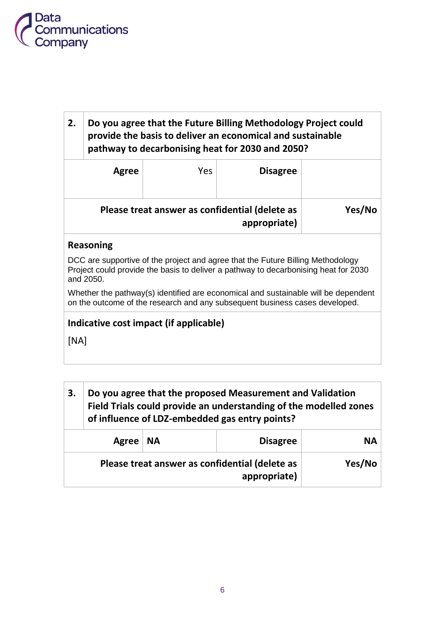

### **2. Do you agree that the Future Billing Methodology Project could provide the basis to deliver an economical and sustainable pathway to decarbonising heat for 2030 and 2050?**

|        | <b>Disagree</b>                                                | Yes | Agree |
|--------|----------------------------------------------------------------|-----|-------|
| Yes/No | Please treat answer as confidential (delete as<br>appropriate) |     |       |

#### **Reasoning**

DCC are supportive of the project and agree that the Future Billing Methodology Project could provide the basis to deliver a pathway to decarbonising heat for 2030 and 2050.

Whether the pathway(s) identified are economical and sustainable will be dependent on the outcome of the research and any subsequent business cases developed.

#### **Indicative cost impact (if applicable)**

[NA]

| 3.                                                             | Do you agree that the proposed Measurement and Validation<br>Field Trials could provide an understanding of the modelled zones<br>of influence of LDZ-embedded gas entry points? |  |           |
|----------------------------------------------------------------|----------------------------------------------------------------------------------------------------------------------------------------------------------------------------------|--|-----------|
| ' NA<br><b>Disagree</b><br>Agree                               |                                                                                                                                                                                  |  | <b>NA</b> |
| Please treat answer as confidential (delete as<br>appropriate) |                                                                                                                                                                                  |  | Yes/No    |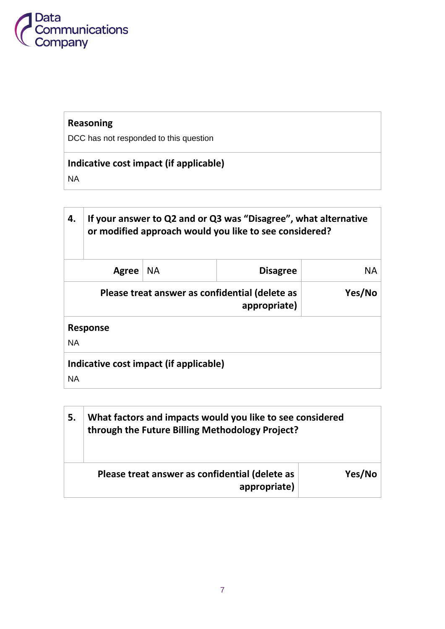

## **Reasoning**

DCC has not responded to this question

## **Indicative cost impact (if applicable)**

NA

| 4.                                                  | If your answer to Q2 and or Q3 was "Disagree", what alternative<br>or modified approach would you like to see considered? |           |                 |    |
|-----------------------------------------------------|---------------------------------------------------------------------------------------------------------------------------|-----------|-----------------|----|
|                                                     | Agree                                                                                                                     | <b>NA</b> | <b>Disagree</b> | ΝA |
|                                                     | Yes/No<br>Please treat answer as confidential (delete as<br>appropriate)                                                  |           |                 |    |
| <b>Response</b>                                     |                                                                                                                           |           |                 |    |
| <b>NA</b>                                           |                                                                                                                           |           |                 |    |
| Indicative cost impact (if applicable)<br><b>NA</b> |                                                                                                                           |           |                 |    |

| 5.                                                                       | What factors and impacts would you like to see considered<br>through the Future Billing Methodology Project? |  |
|--------------------------------------------------------------------------|--------------------------------------------------------------------------------------------------------------|--|
| Yes/No<br>Please treat answer as confidential (delete as<br>appropriate) |                                                                                                              |  |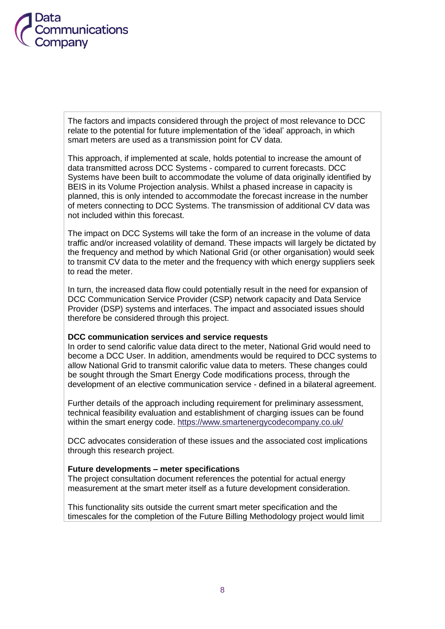

The factors and impacts considered through the project of most relevance to DCC relate to the potential for future implementation of the 'ideal' approach, in which smart meters are used as a transmission point for CV data.

This approach, if implemented at scale, holds potential to increase the amount of data transmitted across DCC Systems - compared to current forecasts. DCC Systems have been built to accommodate the volume of data originally identified by BEIS in its Volume Projection analysis. Whilst a phased increase in capacity is planned, this is only intended to accommodate the forecast increase in the number of meters connecting to DCC Systems. The transmission of additional CV data was not included within this forecast.

The impact on DCC Systems will take the form of an increase in the volume of data traffic and/or increased volatility of demand. These impacts will largely be dictated by the frequency and method by which National Grid (or other organisation) would seek to transmit CV data to the meter and the frequency with which energy suppliers seek to read the meter.

In turn, the increased data flow could potentially result in the need for expansion of DCC Communication Service Provider (CSP) network capacity and Data Service Provider (DSP) systems and interfaces. The impact and associated issues should therefore be considered through this project.

#### **DCC communication services and service requests**

In order to send calorific value data direct to the meter, National Grid would need to become a DCC User. In addition, amendments would be required to DCC systems to allow National Grid to transmit calorific value data to meters. These changes could be sought through the Smart Energy Code modifications process, through the development of an elective communication service - defined in a bilateral agreement.

Further details of the approach including requirement for preliminary assessment, technical feasibility evaluation and establishment of charging issues can be found within the smart energy code. <https://www.smartenergycodecompany.co.uk/>

DCC advocates consideration of these issues and the associated cost implications through this research project.

#### **Future developments – meter specifications**

The project consultation document references the potential for actual energy measurement at the smart meter itself as a future development consideration.

This functionality sits outside the current smart meter specification and the timescales for the completion of the Future Billing Methodology project would limit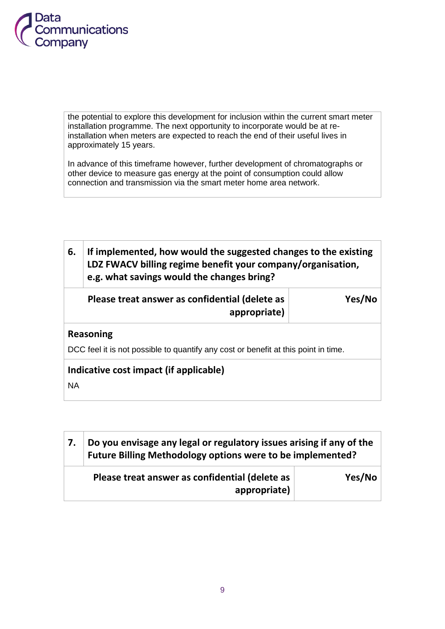

the potential to explore this development for inclusion within the current smart meter installation programme. The next opportunity to incorporate would be at reinstallation when meters are expected to reach the end of their useful lives in approximately 15 years.

In advance of this timeframe however, further development of chromatographs or other device to measure gas energy at the point of consumption could allow connection and transmission via the smart meter home area network.

| 6.                                                                                 | If implemented, how would the suggested changes to the existing<br>LDZ FWACV billing regime benefit your company/organisation,<br>e.g. what savings would the changes bring? |        |  |
|------------------------------------------------------------------------------------|------------------------------------------------------------------------------------------------------------------------------------------------------------------------------|--------|--|
|                                                                                    | Please treat answer as confidential (delete as<br>appropriate)                                                                                                               | Yes/No |  |
| <b>Reasoning</b>                                                                   |                                                                                                                                                                              |        |  |
| DCC feel it is not possible to quantify any cost or benefit at this point in time. |                                                                                                                                                                              |        |  |
| Indicative cost impact (if applicable)                                             |                                                                                                                                                                              |        |  |
| <b>NA</b>                                                                          |                                                                                                                                                                              |        |  |

| Do you envisage any legal or regulatory issues arising if any of the<br>Future Billing Methodology options were to be implemented? |        |  |
|------------------------------------------------------------------------------------------------------------------------------------|--------|--|
| Please treat answer as confidential (delete as<br>appropriate)                                                                     | Yes/No |  |